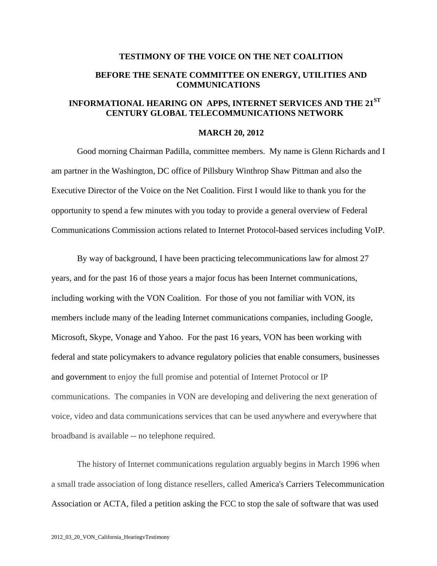## **TESTIMONY OF THE VOICE ON THE NET COALITION BEFORE THE SENATE COMMITTEE ON ENERGY, UTILITIES AND COMMUNICATIONS**

## **INFORMATIONAL HEARING ON APPS, INTERNET SERVICES AND THE 21ST CENTURY GLOBAL TELECOMMUNICATIONS NETWORK**

## **MARCH 20, 2012**

Good morning Chairman Padilla, committee members. My name is Glenn Richards and I am partner in the Washington, DC office of Pillsbury Winthrop Shaw Pittman and also the Executive Director of the Voice on the Net Coalition. First I would like to thank you for the opportunity to spend a few minutes with you today to provide a general overview of Federal Communications Commission actions related to Internet Protocol-based services including VoIP.

By way of background, I have been practicing telecommunications law for almost 27 years, and for the past 16 of those years a major focus has been Internet communications, including working with the VON Coalition. For those of you not familiar with VON, its members include many of the leading Internet communications companies, including Google, Microsoft, Skype, Vonage and Yahoo. For the past 16 years, VON has been working with federal and state policymakers to advance regulatory policies that enable consumers, businesses and government to enjoy the full promise and potential of Internet Protocol or IP communications. The companies in VON are developing and delivering the next generation of voice, video and data communications services that can be used anywhere and everywhere that broadband is available -- no telephone required.

The history of Internet communications regulation arguably begins in March 1996 when a small trade association of long distance resellers, called America's Carriers Telecommunication Association or ACTA, filed a petition asking the FCC to stop the sale of software that was used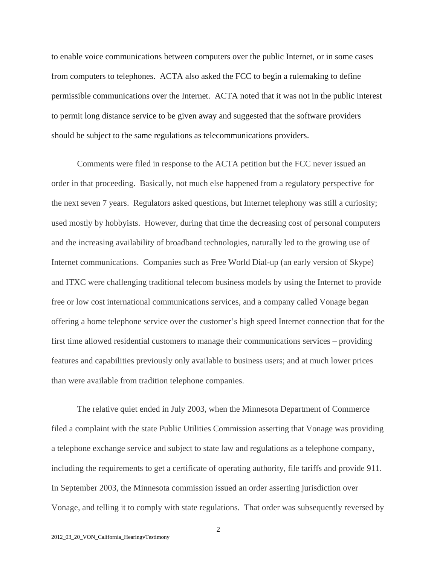to enable voice communications between computers over the public Internet, or in some cases from computers to telephones. ACTA also asked the FCC to begin a rulemaking to define permissible communications over the Internet. ACTA noted that it was not in the public interest to permit long distance service to be given away and suggested that the software providers should be subject to the same regulations as telecommunications providers.

Comments were filed in response to the ACTA petition but the FCC never issued an order in that proceeding. Basically, not much else happened from a regulatory perspective for the next seven 7 years. Regulators asked questions, but Internet telephony was still a curiosity; used mostly by hobbyists. However, during that time the decreasing cost of personal computers and the increasing availability of broadband technologies, naturally led to the growing use of Internet communications. Companies such as Free World Dial-up (an early version of Skype) and ITXC were challenging traditional telecom business models by using the Internet to provide free or low cost international communications services, and a company called Vonage began offering a home telephone service over the customer's high speed Internet connection that for the first time allowed residential customers to manage their communications services – providing features and capabilities previously only available to business users; and at much lower prices than were available from tradition telephone companies.

The relative quiet ended in July 2003, when the Minnesota Department of Commerce filed a complaint with the state Public Utilities Commission asserting that Vonage was providing a telephone exchange service and subject to state law and regulations as a telephone company, including the requirements to get a certificate of operating authority, file tariffs and provide 911. In September 2003, the Minnesota commission issued an order asserting jurisdiction over Vonage, and telling it to comply with state regulations. That order was subsequently reversed by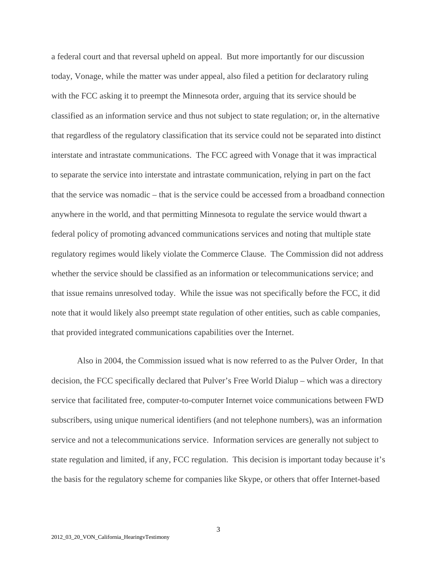a federal court and that reversal upheld on appeal. But more importantly for our discussion today, Vonage, while the matter was under appeal, also filed a petition for declaratory ruling with the FCC asking it to preempt the Minnesota order, arguing that its service should be classified as an information service and thus not subject to state regulation; or, in the alternative that regardless of the regulatory classification that its service could not be separated into distinct interstate and intrastate communications. The FCC agreed with Vonage that it was impractical to separate the service into interstate and intrastate communication, relying in part on the fact that the service was nomadic – that is the service could be accessed from a broadband connection anywhere in the world, and that permitting Minnesota to regulate the service would thwart a federal policy of promoting advanced communications services and noting that multiple state regulatory regimes would likely violate the Commerce Clause. The Commission did not address whether the service should be classified as an information or telecommunications service; and that issue remains unresolved today. While the issue was not specifically before the FCC, it did note that it would likely also preempt state regulation of other entities, such as cable companies, that provided integrated communications capabilities over the Internet.

Also in 2004, the Commission issued what is now referred to as the Pulver Order, In that decision, the FCC specifically declared that Pulver's Free World Dialup – which was a directory service that facilitated free, computer-to-computer Internet voice communications between FWD subscribers, using unique numerical identifiers (and not telephone numbers), was an information service and not a telecommunications service. Information services are generally not subject to state regulation and limited, if any, FCC regulation. This decision is important today because it's the basis for the regulatory scheme for companies like Skype, or others that offer Internet-based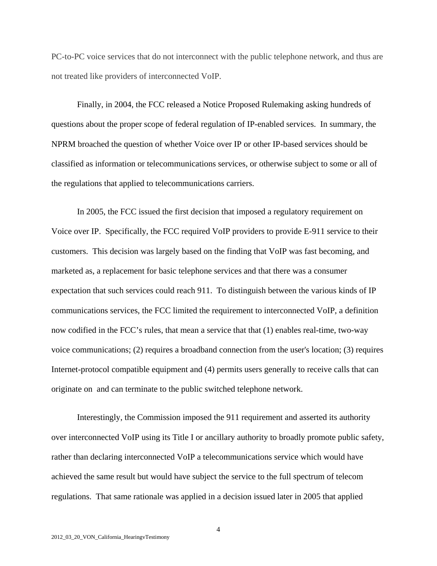PC-to-PC voice services that do not interconnect with the public telephone network, and thus are not treated like providers of interconnected VoIP.

Finally, in 2004, the FCC released a Notice Proposed Rulemaking asking hundreds of questions about the proper scope of federal regulation of IP-enabled services. In summary, the NPRM broached the question of whether Voice over IP or other IP-based services should be classified as information or telecommunications services, or otherwise subject to some or all of the regulations that applied to telecommunications carriers.

In 2005, the FCC issued the first decision that imposed a regulatory requirement on Voice over IP. Specifically, the FCC required VoIP providers to provide E-911 service to their customers. This decision was largely based on the finding that VoIP was fast becoming, and marketed as, a replacement for basic telephone services and that there was a consumer expectation that such services could reach 911. To distinguish between the various kinds of IP communications services, the FCC limited the requirement to interconnected VoIP, a definition now codified in the FCC's rules, that mean a service that that (1) enables real-time, two-way voice communications; (2) requires a broadband connection from the user's location; (3) requires Internet-protocol compatible equipment and (4) permits users generally to receive calls that can originate on and can terminate to the public switched telephone network.

Interestingly, the Commission imposed the 911 requirement and asserted its authority over interconnected VoIP using its Title I or ancillary authority to broadly promote public safety, rather than declaring interconnected VoIP a telecommunications service which would have achieved the same result but would have subject the service to the full spectrum of telecom regulations. That same rationale was applied in a decision issued later in 2005 that applied

4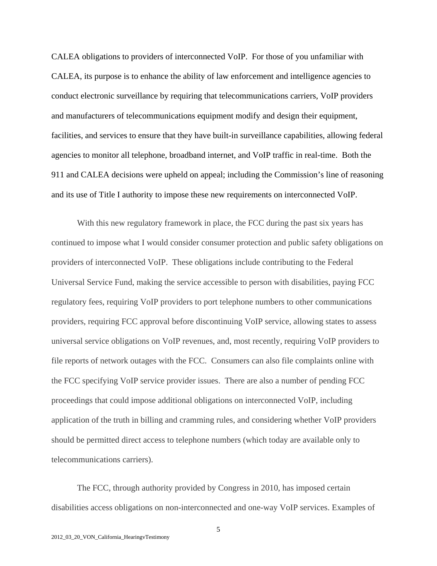CALEA obligations to providers of interconnected VoIP. For those of you unfamiliar with CALEA, its purpose is to enhance the ability of law enforcement and intelligence agencies to conduct electronic surveillance by requiring that telecommunications carriers, VoIP providers and manufacturers of telecommunications equipment modify and design their equipment, facilities, and services to ensure that they have built-in surveillance capabilities, allowing federal agencies to monitor all telephone, broadband internet, and VoIP traffic in real-time. Both the 911 and CALEA decisions were upheld on appeal; including the Commission's line of reasoning and its use of Title I authority to impose these new requirements on interconnected VoIP.

With this new regulatory framework in place, the FCC during the past six years has continued to impose what I would consider consumer protection and public safety obligations on providers of interconnected VoIP. These obligations include contributing to the Federal Universal Service Fund, making the service accessible to person with disabilities, paying FCC regulatory fees, requiring VoIP providers to port telephone numbers to other communications providers, requiring FCC approval before discontinuing VoIP service, allowing states to assess universal service obligations on VoIP revenues, and, most recently, requiring VoIP providers to file reports of network outages with the FCC. Consumers can also file complaints online with the FCC specifying VoIP service provider issues. There are also a number of pending FCC proceedings that could impose additional obligations on interconnected VoIP, including application of the truth in billing and cramming rules, and considering whether VoIP providers should be permitted direct access to telephone numbers (which today are available only to telecommunications carriers).

The FCC, through authority provided by Congress in 2010, has imposed certain disabilities access obligations on non-interconnected and one-way VoIP services. Examples of

5